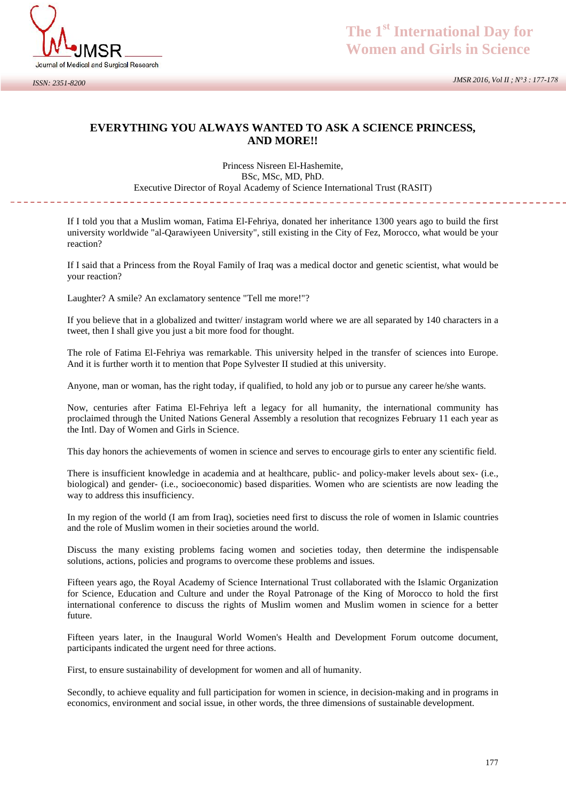

## **EVERYTHING YOU ALWAYS WANTED TO ASK A SCIENCE PRINCESS, AND MORE!!**

Princess Nisreen El-Hashemite, BSc, MSc, MD, PhD. Executive Director of Royal Academy of Science International Trust (RASIT)

---------------------------

If I told you that a Muslim woman, Fatima El-Fehriya, donated her inheritance 1300 years ago to build the first university worldwide "al-Qarawiyeen University", still existing in the City of Fez, Morocco, what would be your reaction?

If I said that a Princess from the Royal Family of Iraq was a medical doctor and genetic scientist, what would be your reaction?

Laughter? A smile? An exclamatory sentence "Tell me more!"?

If you believe that in a globalized and twitter/ instagram world where we are all separated by 140 characters in a tweet, then I shall give you just a bit more food for thought.

The role of Fatima El-Fehriya was remarkable. This university helped in the transfer of sciences into Europe. And it is further worth it to mention that Pope Sylvester II studied at this university.

Anyone, man or woman, has the right today, if qualified, to hold any job or to pursue any career he/she wants.

Now, centuries after Fatima El-Fehriya left a legacy for all humanity, the international community has proclaimed through the United Nations General Assembly a resolution that recognizes February 11 each year as the Intl. Day of Women and Girls in Science.

This day honors the achievements of women in science and serves to encourage girls to enter any scientific field.

There is insufficient knowledge in academia and at healthcare, public- and policy-maker levels about sex- (i.e., biological) and gender- (i.e., socioeconomic) based disparities. Women who are scientists are now leading the way to address this insufficiency.

In my region of the world (I am from Iraq), societies need first to discuss the role of women in Islamic countries and the role of Muslim women in their societies around the world.

Discuss the many existing problems facing women and societies today, then determine the indispensable solutions, actions, policies and programs to overcome these problems and issues.

Fifteen years ago, the Royal Academy of Science International Trust collaborated with the Islamic Organization for Science, Education and Culture and under the Royal Patronage of the King of Morocco to hold the first international conference to discuss the rights of Muslim women and Muslim women in science for a better future.

Fifteen years later, in the Inaugural World Women's Health and Development Forum outcome document, participants indicated the urgent need for three actions.

First, to ensure sustainability of development for women and all of humanity.

Secondly, to achieve equality and full participation for women in science, in decision-making and in programs in economics, environment and social issue, in other words, the three dimensions of sustainable development.